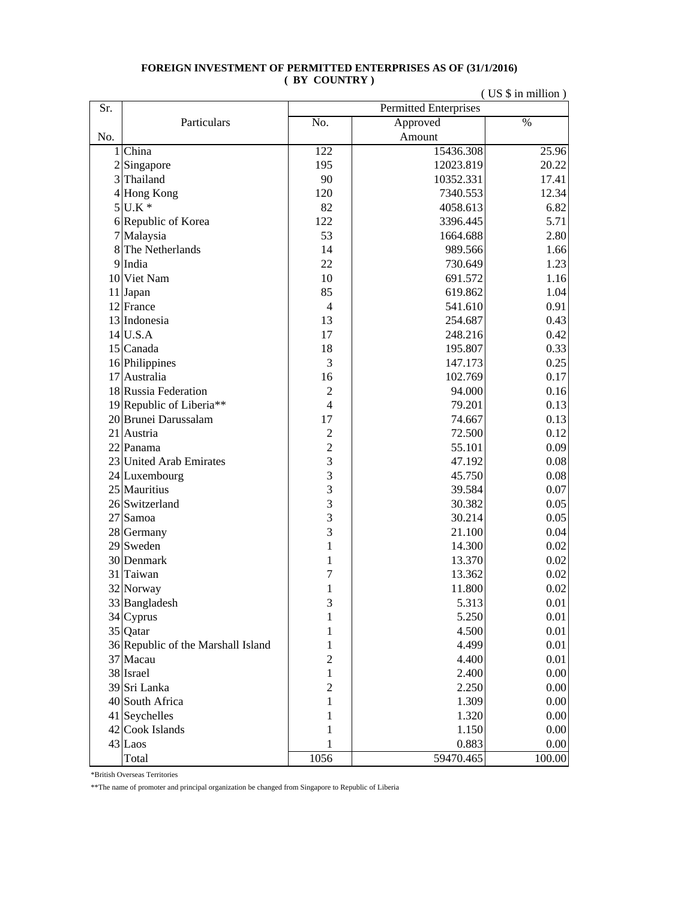## **FOREIGN INVESTMENT OF PERMITTED ENTERPRISES AS OF (31/1/2016) ( BY COUNTRY )**

|     |                                    | (US \$ in million)           |           |                 |  |  |
|-----|------------------------------------|------------------------------|-----------|-----------------|--|--|
| Sr. |                                    | <b>Permitted Enterprises</b> |           |                 |  |  |
|     | Particulars                        | No.                          | Approved  | $\overline{\%}$ |  |  |
| No. |                                    |                              | Amount    |                 |  |  |
|     | 1 China                            | 122                          | 15436.308 | 25.96           |  |  |
|     | $2$ Singapore                      | 195                          | 12023.819 | 20.22           |  |  |
|     | 3 Thailand                         | 90                           | 10352.331 | 17.41           |  |  |
|     | 4 Hong Kong                        | 120                          | 7340.553  | 12.34           |  |  |
|     | $5$ U.K $*$                        | 82                           | 4058.613  | 6.82            |  |  |
|     | 6 Republic of Korea                | 122                          | 3396.445  | 5.71            |  |  |
|     | 7 Malaysia                         | 53                           | 1664.688  | 2.80            |  |  |
| 8   | The Netherlands                    | 14                           | 989.566   | 1.66            |  |  |
|     | 9 India                            | 22                           | 730.649   | 1.23            |  |  |
|     | 10 Viet Nam                        | 10                           | 691.572   | 1.16            |  |  |
|     | 11 Japan                           | 85                           | 619.862   | 1.04            |  |  |
|     | 12 France                          | $\overline{4}$               | 541.610   | 0.91            |  |  |
|     | 13 Indonesia                       | 13                           | 254.687   | 0.43            |  |  |
|     | 14 U.S.A                           | 17                           | 248.216   | 0.42            |  |  |
|     | 15 Canada                          | 18                           | 195.807   | 0.33            |  |  |
|     | 16 Philippines                     | 3                            | 147.173   | 0.25            |  |  |
|     | 17 Australia                       | 16                           | 102.769   | 0.17            |  |  |
|     | 18 Russia Federation               | $\overline{c}$               | 94.000    | 0.16            |  |  |
|     | 19 Republic of Liberia**           | $\overline{4}$               | 79.201    | 0.13            |  |  |
|     | 20 Brunei Darussalam               | 17                           | 74.667    | 0.13            |  |  |
|     | 21 Austria                         | $\overline{c}$               | 72.500    | 0.12            |  |  |
|     | 22 Panama                          | $\overline{2}$               | 55.101    | 0.09            |  |  |
|     | 23 United Arab Emirates            | $\overline{3}$               | 47.192    | 0.08            |  |  |
|     | 24 Luxembourg                      | $\overline{3}$               | 45.750    | 0.08            |  |  |
|     | 25 Mauritius                       | 3                            | 39.584    | 0.07            |  |  |
|     | 26 Switzerland                     | 3                            | 30.382    | 0.05            |  |  |
|     | 27 Samoa                           | 3                            | 30.214    | 0.05            |  |  |
|     | 28 Germany                         | 3                            | 21.100    | 0.04            |  |  |
|     | $29$ Sweden                        | 1                            | 14.300    | 0.02            |  |  |
|     | 30 Denmark                         | $\mathbf{1}$                 | 13.370    | 0.02            |  |  |
|     | 31 Taiwan                          | 7                            | 13.362    | 0.02            |  |  |
|     | 32 Norway                          | 1                            | 11.800    | 0.02            |  |  |
|     | 33 Bangladesh                      | 3                            | 5.313     | $0.01\,$        |  |  |
|     | $34$ Cyprus                        | 1                            | 5.250     | 0.01            |  |  |
|     | 35 Qatar                           | 1                            | 4.500     | 0.01            |  |  |
|     | 36 Republic of the Marshall Island | 1                            | 4.499     | 0.01            |  |  |
|     | 37 Macau                           | $\overline{c}$               | 4.400     | 0.01            |  |  |
|     | 38 Israel                          | $\mathbf{1}$                 | 2.400     | 0.00            |  |  |
|     | 39 Sri Lanka                       | $\overline{2}$               | 2.250     | 0.00            |  |  |
|     | 40 South Africa                    | 1                            | 1.309     | 0.00            |  |  |
|     | 41 Seychelles                      | 1                            | 1.320     | 0.00            |  |  |
|     | 42 Cook Islands                    | 1                            | 1.150     | 0.00            |  |  |
|     | 43 Laos                            | 1                            | 0.883     | 0.00            |  |  |
|     | Total                              | 1056                         | 59470.465 | 100.00          |  |  |

\*British Overseas Territories

\*\*The name of promoter and principal organization be changed from Singapore to Republic of Liberia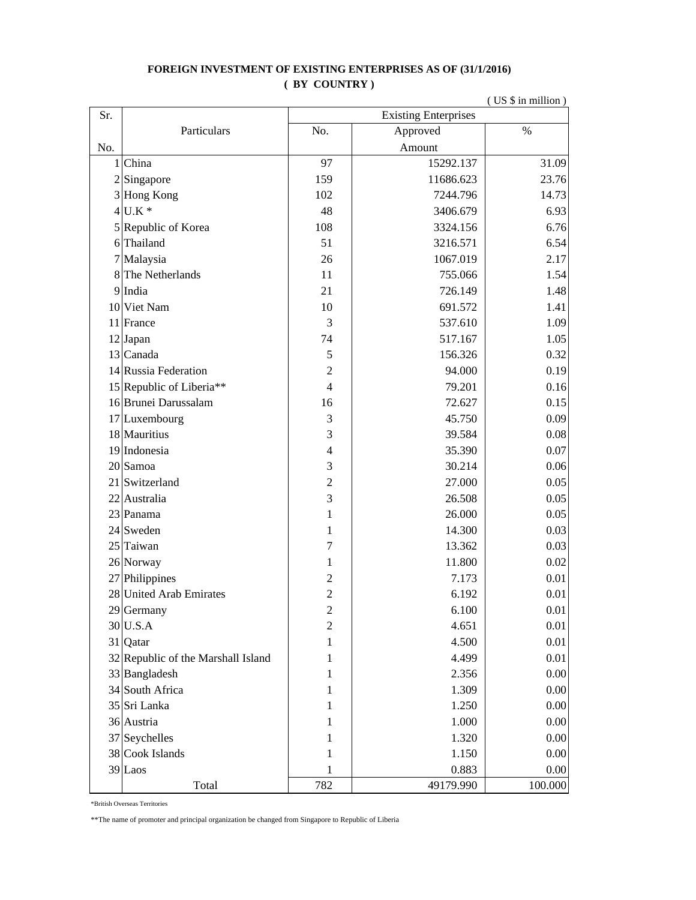## **FOREIGN INVESTMENT OF EXISTING ENTERPRISES AS OF (31/1/2016) ( BY COUNTRY )**

|     | (US \$ in million)                 |                             |           |          |
|-----|------------------------------------|-----------------------------|-----------|----------|
| Sr. |                                    | <b>Existing Enterprises</b> |           |          |
|     | Particulars                        | No.                         | Approved  | $\%$     |
| No. |                                    |                             | Amount    |          |
|     | 1 China                            | 97                          | 15292.137 | 31.09    |
|     | $2$ Singapore                      | 159                         | 11686.623 | 23.76    |
|     | 3 Hong Kong                        | 102                         | 7244.796  | 14.73    |
|     | $4$ U.K $*$                        | 48                          | 3406.679  | 6.93     |
|     | 5 Republic of Korea                | 108                         | 3324.156  | 6.76     |
|     | 6 Thailand                         | 51                          | 3216.571  | 6.54     |
|     | 7 Malaysia                         | 26                          | 1067.019  | 2.17     |
|     | 8 The Netherlands                  | 11                          | 755.066   | 1.54     |
|     | 9 India                            | 21                          | 726.149   | 1.48     |
|     | 10 Viet Nam                        | 10                          | 691.572   | 1.41     |
|     | 11 France                          | 3                           | 537.610   | 1.09     |
|     | $12$ Japan                         | 74                          | 517.167   | 1.05     |
|     | 13 Canada                          | 5                           | 156.326   | 0.32     |
|     | 14 Russia Federation               | $\overline{c}$              | 94.000    | 0.19     |
|     | 15 Republic of Liberia**           | $\overline{4}$              | 79.201    | 0.16     |
|     | 16 Brunei Darussalam               | 16                          | 72.627    | 0.15     |
|     | 17 Luxembourg                      | 3                           | 45.750    | 0.09     |
|     | 18 Mauritius                       | 3                           | 39.584    | 0.08     |
|     | 19 Indonesia                       | $\overline{4}$              | 35.390    | 0.07     |
|     | 20 Samoa                           | 3                           | 30.214    | 0.06     |
|     | 21 Switzerland                     | $\overline{c}$              | 27.000    | 0.05     |
|     | 22 Australia                       | 3                           | 26.508    | 0.05     |
|     | 23 Panama                          | $\mathbf{1}$                | 26.000    | 0.05     |
|     | $24$ Sweden                        | 1                           | 14.300    | 0.03     |
|     | 25 Taiwan                          | 7                           | 13.362    | 0.03     |
|     | 26 Norway                          | 1                           | 11.800    | 0.02     |
|     | 27 Philippines                     | $\overline{c}$              | 7.173     | 0.01     |
|     | 28 United Arab Emirates            | $\overline{2}$              | 6.192     | 0.01     |
|     | 29 Germany                         | $\overline{2}$              | 6.100     | 0.01     |
|     | 30 U.S.A                           | $\overline{c}$              | 4.651     | 0.01     |
|     | 31 Qatar                           | 1                           | 4.500     | $0.01\,$ |
|     | 32 Republic of the Marshall Island | 1                           | 4.499     | 0.01     |
|     | 33 Bangladesh                      | 1                           | 2.356     | 0.00     |
|     | 34 South Africa                    | 1                           | 1.309     | 0.00     |
|     | 35 Sri Lanka                       | 1                           | 1.250     | 0.00     |
|     | 36 Austria                         | 1                           | 1.000     | 0.00     |
|     | $37$ Seychelles                    | 1                           | 1.320     | 0.00     |
|     | 38 Cook Islands                    | 1                           | 1.150     | 0.00     |
|     | $39$ Laos                          | 1                           | 0.883     | 0.00     |
|     | Total                              | 782                         | 49179.990 | 100.000  |

\*British Overseas Territories

\*\*The name of promoter and principal organization be changed from Singapore to Republic of Liberia